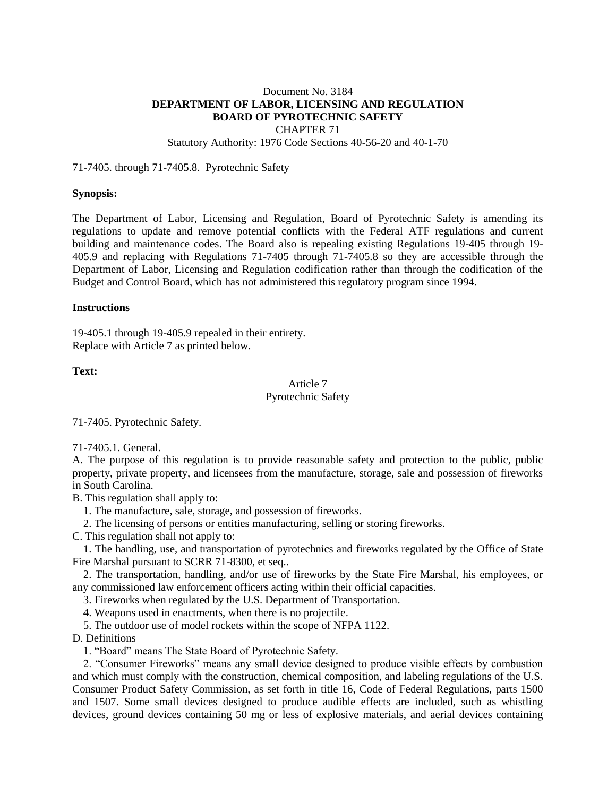# Document No. 3184 **DEPARTMENT OF LABOR, LICENSING AND REGULATION BOARD OF PYROTECHNIC SAFETY**

CHAPTER 71

Statutory Authority: 1976 Code Sections 40-56-20 and 40-1-70

71-7405. through 71-7405.8. Pyrotechnic Safety

### **Synopsis:**

The Department of Labor, Licensing and Regulation, Board of Pyrotechnic Safety is amending its regulations to update and remove potential conflicts with the Federal ATF regulations and current building and maintenance codes. The Board also is repealing existing Regulations 19-405 through 19- 405.9 and replacing with Regulations 71-7405 through 71-7405.8 so they are accessible through the Department of Labor, Licensing and Regulation codification rather than through the codification of the Budget and Control Board, which has not administered this regulatory program since 1994.

### **Instructions**

19-405.1 through 19-405.9 repealed in their entirety. Replace with Article 7 as printed below.

### **Text:**

## Article 7 Pyrotechnic Safety

71-7405. Pyrotechnic Safety.

71-7405.1. General.

A. The purpose of this regulation is to provide reasonable safety and protection to the public, public property, private property, and licensees from the manufacture, storage, sale and possession of fireworks in South Carolina.

B. This regulation shall apply to:

- 1. The manufacture, sale, storage, and possession of fireworks.
- 2. The licensing of persons or entities manufacturing, selling or storing fireworks.
- C. This regulation shall not apply to:

1. The handling, use, and transportation of pyrotechnics and fireworks regulated by the Office of State Fire Marshal pursuant to SCRR 71-8300, et seq..

2. The transportation, handling, and/or use of fireworks by the State Fire Marshal, his employees, or any commissioned law enforcement officers acting within their official capacities.

3. Fireworks when regulated by the U.S. Department of Transportation.

4. Weapons used in enactments, when there is no projectile.

5. The outdoor use of model rockets within the scope of NFPA 1122.

D. Definitions

1. "Board" means The State Board of Pyrotechnic Safety.

2. "Consumer Fireworks" means any small device designed to produce visible effects by combustion and which must comply with the construction, chemical composition, and labeling regulations of the U.S. Consumer Product Safety Commission, as set forth in title 16, Code of Federal Regulations, parts 1500 and 1507. Some small devices designed to produce audible effects are included, such as whistling devices, ground devices containing 50 mg or less of explosive materials, and aerial devices containing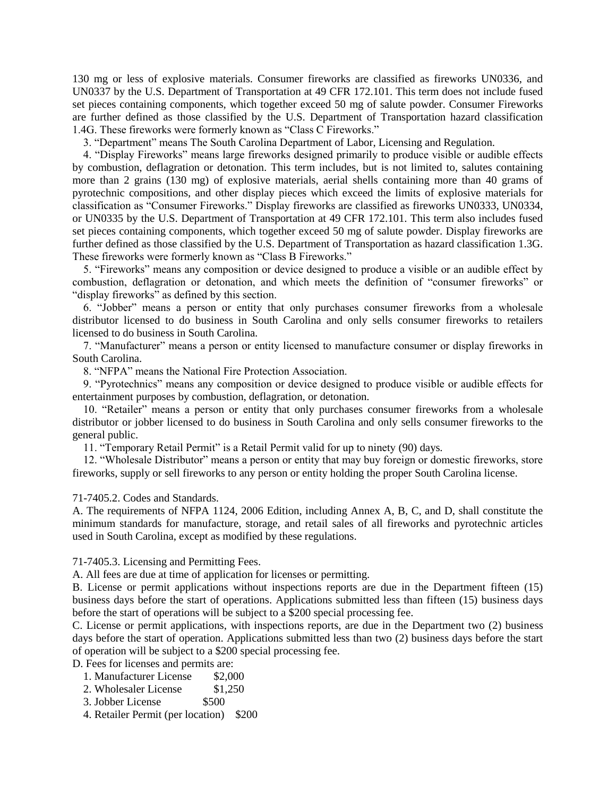130 mg or less of explosive materials. Consumer fireworks are classified as fireworks UN0336, and UN0337 by the U.S. Department of Transportation at 49 CFR 172.101. This term does not include fused set pieces containing components, which together exceed 50 mg of salute powder. Consumer Fireworks are further defined as those classified by the U.S. Department of Transportation hazard classification 1.4G. These fireworks were formerly known as "Class C Fireworks."

3. "Department" means The South Carolina Department of Labor, Licensing and Regulation.

4. "Display Fireworks" means large fireworks designed primarily to produce visible or audible effects by combustion, deflagration or detonation. This term includes, but is not limited to, salutes containing more than 2 grains (130 mg) of explosive materials, aerial shells containing more than 40 grams of pyrotechnic compositions, and other display pieces which exceed the limits of explosive materials for classification as "Consumer Fireworks." Display fireworks are classified as fireworks UN0333, UN0334, or UN0335 by the U.S. Department of Transportation at 49 CFR 172.101. This term also includes fused set pieces containing components, which together exceed 50 mg of salute powder. Display fireworks are further defined as those classified by the U.S. Department of Transportation as hazard classification 1.3G. These fireworks were formerly known as "Class B Fireworks."

5. "Fireworks" means any composition or device designed to produce a visible or an audible effect by combustion, deflagration or detonation, and which meets the definition of "consumer fireworks" or "display fireworks" as defined by this section.

6. "Jobber" means a person or entity that only purchases consumer fireworks from a wholesale distributor licensed to do business in South Carolina and only sells consumer fireworks to retailers licensed to do business in South Carolina.

7. "Manufacturer" means a person or entity licensed to manufacture consumer or display fireworks in South Carolina.

8. "NFPA" means the National Fire Protection Association.

9. "Pyrotechnics" means any composition or device designed to produce visible or audible effects for entertainment purposes by combustion, deflagration, or detonation.

10. "Retailer" means a person or entity that only purchases consumer fireworks from a wholesale distributor or jobber licensed to do business in South Carolina and only sells consumer fireworks to the general public.

11. "Temporary Retail Permit" is a Retail Permit valid for up to ninety (90) days.

12. "Wholesale Distributor" means a person or entity that may buy foreign or domestic fireworks, store fireworks, supply or sell fireworks to any person or entity holding the proper South Carolina license.

#### 71-7405.2. Codes and Standards.

A. The requirements of NFPA 1124, 2006 Edition, including Annex A, B, C, and D, shall constitute the minimum standards for manufacture, storage, and retail sales of all fireworks and pyrotechnic articles used in South Carolina, except as modified by these regulations.

71-7405.3. Licensing and Permitting Fees.

A. All fees are due at time of application for licenses or permitting.

B. License or permit applications without inspections reports are due in the Department fifteen (15) business days before the start of operations. Applications submitted less than fifteen (15) business days before the start of operations will be subject to a \$200 special processing fee.

C. License or permit applications, with inspections reports, are due in the Department two (2) business days before the start of operation. Applications submitted less than two (2) business days before the start of operation will be subject to a \$200 special processing fee.

D. Fees for licenses and permits are:

- 1. Manufacturer License \$2,000
- 2. Wholesaler License \$1,250
- 3. Jobber License \$500
- 4. Retailer Permit (per location) \$200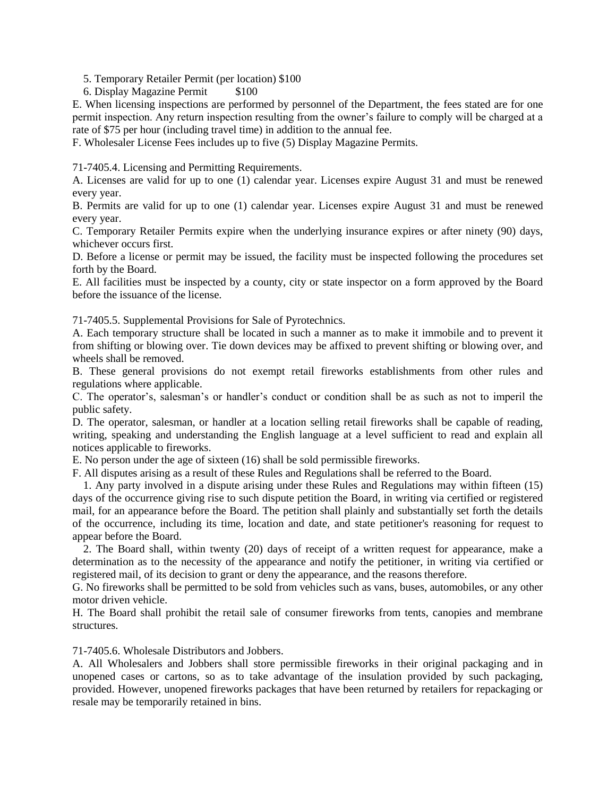5. Temporary Retailer Permit (per location) \$100

6. Display Magazine Permit \$100

E. When licensing inspections are performed by personnel of the Department, the fees stated are for one permit inspection. Any return inspection resulting from the owner's failure to comply will be charged at a rate of \$75 per hour (including travel time) in addition to the annual fee.

F. Wholesaler License Fees includes up to five (5) Display Magazine Permits.

71-7405.4. Licensing and Permitting Requirements.

A. Licenses are valid for up to one (1) calendar year. Licenses expire August 31 and must be renewed every year.

B. Permits are valid for up to one (1) calendar year. Licenses expire August 31 and must be renewed every year.

C. Temporary Retailer Permits expire when the underlying insurance expires or after ninety (90) days, whichever occurs first.

D. Before a license or permit may be issued, the facility must be inspected following the procedures set forth by the Board.

E. All facilities must be inspected by a county, city or state inspector on a form approved by the Board before the issuance of the license.

71-7405.5. Supplemental Provisions for Sale of Pyrotechnics.

A. Each temporary structure shall be located in such a manner as to make it immobile and to prevent it from shifting or blowing over. Tie down devices may be affixed to prevent shifting or blowing over, and wheels shall be removed.

B. These general provisions do not exempt retail fireworks establishments from other rules and regulations where applicable.

C. The operator's, salesman's or handler's conduct or condition shall be as such as not to imperil the public safety.

D. The operator, salesman, or handler at a location selling retail fireworks shall be capable of reading, writing, speaking and understanding the English language at a level sufficient to read and explain all notices applicable to fireworks.

E. No person under the age of sixteen (16) shall be sold permissible fireworks.

F. All disputes arising as a result of these Rules and Regulations shall be referred to the Board.

1. Any party involved in a dispute arising under these Rules and Regulations may within fifteen (15) days of the occurrence giving rise to such dispute petition the Board, in writing via certified or registered mail, for an appearance before the Board. The petition shall plainly and substantially set forth the details of the occurrence, including its time, location and date, and state petitioner's reasoning for request to appear before the Board.

2. The Board shall, within twenty (20) days of receipt of a written request for appearance, make a determination as to the necessity of the appearance and notify the petitioner, in writing via certified or registered mail, of its decision to grant or deny the appearance, and the reasons therefore.

G. No fireworks shall be permitted to be sold from vehicles such as vans, buses, automobiles, or any other motor driven vehicle.

H. The Board shall prohibit the retail sale of consumer fireworks from tents, canopies and membrane structures.

71-7405.6. Wholesale Distributors and Jobbers.

A. All Wholesalers and Jobbers shall store permissible fireworks in their original packaging and in unopened cases or cartons, so as to take advantage of the insulation provided by such packaging, provided. However, unopened fireworks packages that have been returned by retailers for repackaging or resale may be temporarily retained in bins.